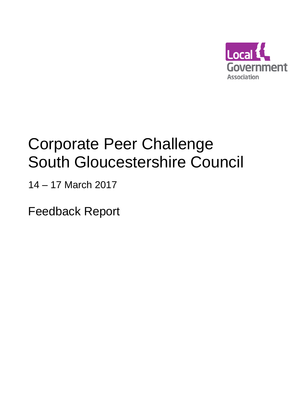

# Corporate Peer Challenge South Gloucestershire Council

14 – 17 March 2017

Feedback Report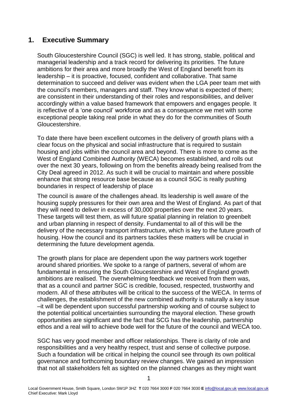# **1. Executive Summary**

South Gloucestershire Council (SGC) is well led. It has strong, stable, political and managerial leadership and a track record for delivering its priorities. The future ambitions for their area and more broadly the West of England benefit from its leadership – it is proactive, focused, confident and collaborative. That same determination to succeed and deliver was evident when the LGA peer team met with the council's members, managers and staff. They know what is expected of them; are consistent in their understanding of their roles and responsibilities, and deliver accordingly within a value based framework that empowers and engages people. It is reflective of a 'one council' workforce and as a consequence we met with some exceptional people taking real pride in what they do for the communities of South Gloucestershire.

To date there have been excellent outcomes in the delivery of growth plans with a clear focus on the physical and social infrastructure that is required to sustain housing and jobs within the council area and beyond. There is more to come as the West of England Combined Authority (WECA) becomes established, and rolls out over the next 30 years, following on from the benefits already being realised from the City Deal agreed in 2012. As such it will be crucial to maintain and where possible enhance that strong resource base because as a council SGC is really pushing boundaries in respect of leadership of place

The council is aware of the challenges ahead. Its leadership is well aware of the housing supply pressures for their own area and the West of England. As part of that they will need to deliver in excess of 30,000 properties over the next 20 years. These targets will test them, as will future spatial planning in relation to greenbelt and urban planning in respect of density. Fundamental to all of this will be the delivery of the necessary transport infrastructure, which is key to the future growth of housing. How the council and its partners tackles these matters will be crucial in determining the future development agenda.

The growth plans for place are dependent upon the way partners work together around shared priorities. We spoke to a range of partners, several of whom are fundamental in ensuring the South Gloucestershire and West of England growth ambitions are realised. The overwhelming feedback we received from them was, that as a council and partner SGC is credible, focused, respected, trustworthy and modern. All of these attributes will be critical to the success of the WECA. In terms of challenges, the establishment of the new combined authority is naturally a key issue –it will be dependent upon successful partnership working and of course subject to the potential political uncertainties surrounding the mayoral election. These growth opportunities are significant and the fact that SCG has the leadership, partnership ethos and a real will to achieve bode well for the future of the council and WECA too.

SGC has very good member and officer relationships. There is clarity of role and responsibilities and a very healthy respect, trust and sense of collective purpose. Such a foundation will be critical in helping the council see through its own political governance and forthcoming boundary review changes. We gained an impression that not all stakeholders felt as sighted on the planned changes as they might want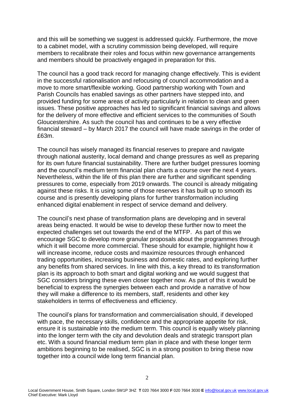and this will be something we suggest is addressed quickly. Furthermore, the move to a cabinet model, with a scrutiny commission being developed, will require members to recalibrate their roles and focus within new governance arrangements and members should be proactively engaged in preparation for this.

The council has a good track record for managing change effectively. This is evident in the successful rationalisation and refocusing of council accommodation and a move to more smart/flexible working. Good partnership working with Town and Parish Councils has enabled savings as other partners have stepped into, and provided funding for some areas of activity particularly in relation to clean and green issues. These positive approaches has led to significant financial savings and allows for the delivery of more effective and efficient services to the communities of South Gloucestershire. As such the council has and continues to be a very effective financial steward – by March 2017 the council will have made savings in the order of £63m.

The council has wisely managed its financial reserves to prepare and navigate through national austerity, local demand and change pressures as well as preparing for its own future financial sustainability. There are further budget pressures looming and the council's medium term financial plan charts a course over the next 4 years. Nevertheless, within the life of this plan there are further and significant spending pressures to come, especially from 2019 onwards. The council is already mitigating against these risks. It is using some of those reserves it has built up to smooth its course and is presently developing plans for further transformation including enhanced digital enablement in respect of service demand and delivery.

The council's next phase of transformation plans are developing and in several areas being enacted. It would be wise to develop these further now to meet the expected challenges set out towards the end of the MTFP. As part of this we encourage SGC to develop more granular proposals about the programmes through which it will become more commercial. These should for example, highlight how it will increase income, reduce costs and maximize resources through enhanced trading opportunities, increasing business and domestic rates, and exploring further any benefits from shared services. In line with this, a key thread to its transformation plan is its approach to both smart and digital working and we would suggest that SGC considers bringing these even closer together now. As part of this it would be beneficial to express the synergies between each and provide a narrative of how they will make a difference to its members, staff, residents and other key stakeholders in terms of effectiveness and efficiency.

The council's plans for transformation and commercialisation should, if developed with pace, the necessary skills, confidence and the appropriate appetite for risk, ensure it is sustainable into the medium term. This council is equally wisely planning into the longer term with the city and devolution deals and strategic transport plan etc. With a sound financial medium term plan in place and with these longer term ambitions beginning to be realised, SGC is in a strong position to bring these now together into a council wide long term financial plan.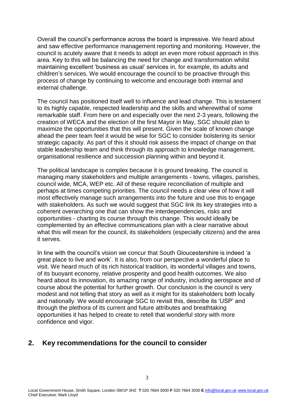Overall the council's performance across the board is impressive. We heard about and saw effective performance management reporting and monitoring. However, the council is acutely aware that it needs to adopt an even more robust approach in this area. Key to this will be balancing the need for change and transformation whilst maintaining excellent 'business as usual' services in, for example, its adults and children's services. We would encourage the council to be proactive through this process of change by continuing to welcome and encourage both internal and external challenge.

The council has positioned itself well to influence and lead change. This is testament to its highly capable, respected leadership and the skills and wherewithal of some remarkable staff. From here on and especially over the next 2-3 years, following the creation of WECA and the election of the first Mayor in May, SGC should plan to maximize the opportunities that this will present. Given the scale of known change ahead the peer team feel it would be wise for SGC to consider bolstering its senior strategic capacity. As part of this it should risk assess the impact of change on that stable leadership team and think through its approach to knowledge management, organisational resilience and succession planning within and beyond it.

The political landscape is complex because it is ground breaking. The council is managing many stakeholders and multiple arrangements - towns, villages, parishes, council wide, MCA, WEP etc. All of these require reconciliation of multiple and perhaps at times competing priorities. The council needs a clear view of how it will most effectively manage such arrangements into the future and use this to engage with stakeholders. As such we would suggest that SGC link its key strategies into a coherent overarching one that can show the interdependencies, risks and opportunities - charting its course through this change. This would ideally be complemented by an effective communications plan with a clear narrative about what this will mean for the council, its stakeholders (especially citizens) and the area it serves.

In line with the council's vision we concur that South Gloucestershire is indeed 'a great place to live and work'. It is also, from our perspective a wonderful place to visit. We heard much of its rich historical tradition, its wonderful villages and towns, of its buoyant economy, relative prosperity and good health outcomes. We also heard about its innovation, its amazing range of industry, including aerospace and of course about the potential for further growth. Our conclusion is the council is very modest and not telling that story as well as it might for its stakeholders both locally and nationally. We would encourage SGC to revisit this, describe its 'USP' and through the plethora of its current and future attributes and breathtaking opportunities it has helped to create to retell that wonderful story with more confidence and vigor.

# **2. Key recommendations for the council to consider**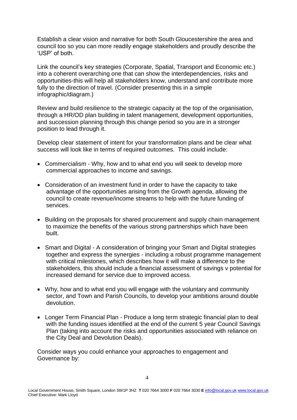Establish a clear vision and narrative for both South Gloucestershire the area and council too so you can more readily engage stakeholders and proudly describe the 'USP' of both.

Link the council's key strategies (Corporate, Spatial, Transport and Economic etc.) into a coherent overarching one that can show the interdependencies, risks and opportunities-this will help all stakeholders know, understand and contribute more fully to the direction of travel. (Consider presenting this in a simple infographic/diagram.)

Review and build resilience to the strategic capacity at the top of the organisation, through a HR/OD plan building in talent management, development opportunities, and succession planning through this change period so you are in a stronger position to lead through it.

Develop clear statement of intent for your transformation plans and be clear what success will look like in terms of required outcomes. This could include:

- Commercialism Why, how and to what end you will seek to develop more commercial approaches to income and savings.
- Consideration of an investment fund in order to have the capacity to take advantage of the opportunities arising from the Growth agenda, allowing the council to create revenue/income streams to help with the future funding of services.
- Building on the proposals for shared procurement and supply chain management to maximize the benefits of the various strong partnerships which have been built.
- Smart and Digital A consideration of bringing your Smart and Digital strategies together and express the synergies - including a robust programme management with critical milestones, which describes how it will make a difference to the stakeholders, this should include a financial assessment of savings v potential for increased demand for service due to improved access.
- Why, how and to what end you will engage with the voluntary and community sector, and Town and Parish Councils, to develop your ambitions around double devolution.
- Longer Term Financial Plan Produce a long term strategic financial plan to deal with the funding issues identified at the end of the current 5 year Council Savings Plan (taking into account the risks and opportunities associated with reliance on the City Deal and Devolution Deals).

Consider ways you could enhance your approaches to engagement and Governance by: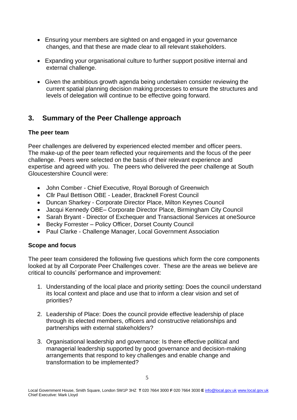- Ensuring your members are sighted on and engaged in your governance changes, and that these are made clear to all relevant stakeholders.
- Expanding your organisational culture to further support positive internal and external challenge.
- Given the ambitious growth agenda being undertaken consider reviewing the current spatial planning decision making processes to ensure the structures and levels of delegation will continue to be effective going forward.

# **3. Summary of the Peer Challenge approach**

## **The peer team**

Peer challenges are delivered by experienced elected member and officer peers. The make-up of the peer team reflected your requirements and the focus of the peer challenge. Peers were selected on the basis of their relevant experience and expertise and agreed with you. The peers who delivered the peer challenge at South Gloucestershire Council were:

- John Comber Chief Executive, Royal Borough of Greenwich
- Cllr Paul Bettison OBE Leader, Bracknell Forest Council
- Duncan Sharkey Corporate Director Place, Milton Keynes Council
- Jacqui Kennedy OBE– Corporate Director Place, Birmingham City Council
- Sarah Bryant Director of Exchequer and Transactional Services at oneSource
- Becky Forrester Policy Officer, Dorset County Council
- Paul Clarke Challenge Manager, Local Government Association

# **Scope and focus**

The peer team considered the following five questions which form the core components looked at by all Corporate Peer Challenges cover. These are the areas we believe are critical to councils' performance and improvement:

- 1. Understanding of the local place and priority setting: Does the council understand its local context and place and use that to inform a clear vision and set of priorities?
- 2. Leadership of Place: Does the council provide effective leadership of place through its elected members, officers and constructive relationships and partnerships with external stakeholders?
- 3. Organisational leadership and governance: Is there effective political and managerial leadership supported by good governance and decision-making arrangements that respond to key challenges and enable change and transformation to be implemented?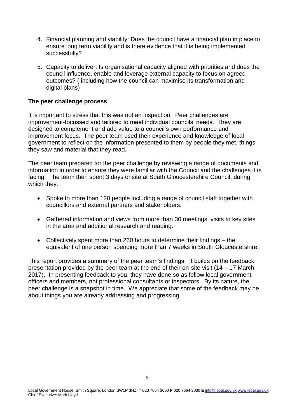- 4. Financial planning and viability: Does the council have a financial plan in place to ensure long term viability and is there evidence that it is being implemented successfully?
- 5. Capacity to deliver: Is organisational capacity aligned with priorities and does the council influence, enable and leverage external capacity to focus on agreed outcomes? ( including how the council can maximise its transformation and digital plans)

## **The peer challenge process**

It is important to stress that this was not an inspection. Peer challenges are improvement-focussed and tailored to meet individual councils' needs. They are designed to complement and add value to a council's own performance and improvement focus. The peer team used their experience and knowledge of local government to reflect on the information presented to them by people they met, things they saw and material that they read.

The peer team prepared for the peer challenge by reviewing a range of documents and information in order to ensure they were familiar with the Council and the challenges it is facing. The team then spent 3 days onsite at South Gloucestershire Council, during which they:

- Spoke to more than 120 people including a range of council staff together with councillors and external partners and stakeholders.
- Gathered information and views from more than 30 meetings, visits to key sites in the area and additional research and reading.
- Collectively spent more than 260 hours to determine their findings the equivalent of one person spending more than 7 weeks in South Gloucestershire.

This report provides a summary of the peer team's findings. It builds on the feedback presentation provided by the peer team at the end of their on-site visit (14 – 17 March 2017). In presenting feedback to you, they have done so as fellow local government officers and members, not professional consultants or inspectors. By its nature, the peer challenge is a snapshot in time. We appreciate that some of the feedback may be about things you are already addressing and progressing.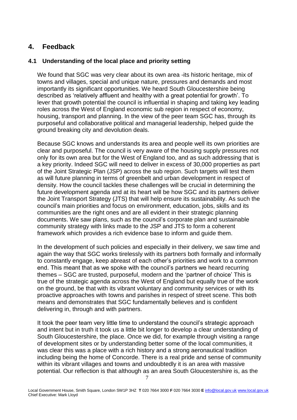# **4. Feedback**

# **4.1 Understanding of the local place and priority setting**

We found that SGC was very clear about its own area -its historic heritage, mix of towns and villages, special and unique nature, pressures and demands and most importantly its significant opportunities. We heard South Gloucestershire being described as 'relatively affluent and healthy with a great potential for growth'. To lever that growth potential the council is influential in shaping and taking key leading roles across the West of England economic sub region in respect of economy, housing, transport and planning. In the view of the peer team SGC has, through its purposeful and collaborative political and managerial leadership, helped guide the ground breaking city and devolution deals.

Because SGC knows and understands its area and people well its own priorities are clear and purposeful. The council is very aware of the housing supply pressures not only for its own area but for the West of England too, and as such addressing that is a key priority. Indeed SGC will need to deliver in excess of 30,000 properties as part of the Joint Strategic Plan (JSP) across the sub region. Such targets will test them as will future planning in terms of greenbelt and urban development in respect of density. How the council tackles these challenges will be crucial in determining the future development agenda and at its heart will be how SGC and its partners deliver the Joint Transport Strategy (JTS) that will help ensure its sustainability. As such the council's main priorities and focus on environment, education, jobs, skills and its communities are the right ones and are all evident in their strategic planning documents. We saw plans, such as the council's corporate plan and sustainable community strategy with links made to the JSP and JTS to form a coherent framework which provides a rich evidence base to inform and guide them.

In the development of such policies and especially in their delivery, we saw time and again the way that SGC works tirelessly with its partners both formally and informally to constantly engage, keep abreast of each other's priorities and work to a common end. This meant that as we spoke with the council's partners we heard recurring themes – SGC are trusted, purposeful, modern and the 'partner of choice' This is true of the strategic agenda across the West of England but equally true of the work on the ground, be that with its vibrant voluntary and community services or with its proactive approaches with towns and parishes in respect of street scene. This both means and demonstrates that SGC fundamentally believes and is confident delivering in, through and with partners.

It took the peer team very little time to understand the council's strategic approach and intent but in truth it took us a little bit longer to develop a clear understanding of South Gloucestershire, the place. Once we did, for example through visiting a range of development sites or by understanding better some of the local communities, it was clear this was a place with a rich history and a strong aeronautical tradition including being the home of Concorde. There is a real pride and sense of community within its vibrant villages and towns and undoubtedly it is an area with massive potential. Our reflection is that although as an area South Gloucestershire is, as the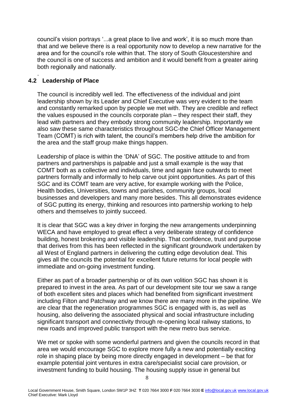council's vision portrays '...a great place to live and work', it is so much more than that and we believe there is a real opportunity now to develop a new narrative for the area and for the council's role within that. The story of South Gloucestershire and the council is one of success and ambition and it would benefit from a greater airing both regionally and nationally.

#### . **4.2 Leadership of Place**

The council is incredibly well led. The effectiveness of the individual and joint leadership shown by its Leader and Chief Executive was very evident to the team and constantly remarked upon by people we met with. They are credible and reflect the values espoused in the councils corporate plan – they respect their staff, they lead with partners and they embody strong community leadership. Importantly we also saw these same characteristics throughout SGC-the Chief Officer Management Team (COMT) is rich with talent, the council's members help drive the ambition for the area and the staff group make things happen.

Leadership of place is within the 'DNA' of SGC. The positive attitude to and from partners and partnerships is palpable and just a small example is the way that COMT both as a collective and individuals, time and again face outwards to meet partners formally and informally to help carve out joint opportunities. As part of this SGC and its COMT team are very active, for example working with the Police, Health bodies, Universities, towns and parishes, community groups, local businesses and developers and many more besides. This all demonstrates evidence of SGC putting its energy, thinking and resources into partnership working to help others and themselves to jointly succeed.

It is clear that SGC was a key driver in forging the new arrangements underpinning WECA and have employed to great effect a very deliberate strategy of confidence building, honest brokering and visible leadership. That confidence, trust and purpose that derives from this has been reflected in the significant groundwork undertaken by all West of England partners in delivering the cutting edge devolution deal. This gives all the councils the potential for excellent future returns for local people with immediate and on-going investment funding.

Either as part of a broader partnership or of its own volition SGC has shown it is prepared to invest in the area. As part of our development site tour we saw a range of both excellent sites and places which had benefited from significant investment including Filton and Patchway and we know there are many more in the pipeline. We are clear that the regeneration programmes SGC is engaged with is, as well as housing, also delivering the associated physical and social infrastructure including significant transport and connectivity through re-opening local railway stations, to new roads and improved public transport with the new metro bus service.

We met or spoke with some wonderful partners and given the councils record in that area we would encourage SGC to explore more fully a new and potentially exciting role in shaping place by being more directly engaged in development – be that for example potential joint ventures in extra care/specialist social care provision, or investment funding to build housing. The housing supply issue in general but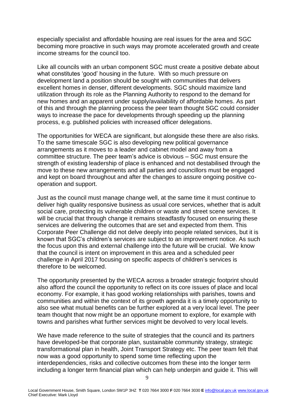especially specialist and affordable housing are real issues for the area and SGC becoming more proactive in such ways may promote accelerated growth and create income streams for the council too.

Like all councils with an urban component SGC must create a positive debate about what constitutes 'good' housing in the future. With so much pressure on development land a position should be sought with communities that delivers excellent homes in denser, different developments. SGC should maximize land utilization through its role as the Planning Authority to respond to the demand for new homes and an apparent under supply/availability of affordable homes. As part of this and through the planning process the peer team thought SGC could consider ways to increase the pace for developments through speeding up the planning process, e.g. published policies with increased officer delegations.

The opportunities for WECA are significant, but alongside these there are also risks. To the same timescale SGC is also developing new political governance arrangements as it moves to a leader and cabinet model and away from a committee structure. The peer team's advice is obvious – SGC must ensure the strength of existing leadership of place is enhanced and not destabilised through the move to these new arrangements and all parties and councillors must be engaged and kept on board throughout and after the changes to assure ongoing positive cooperation and support.

Just as the council must manage change well, at the same time it must continue to deliver high quality responsive business as usual core services, whether that is adult social care, protecting its vulnerable children or waste and street scene services. It will be crucial that through change it remains steadfastly focused on ensuring these services are delivering the outcomes that are set and expected from them. This Corporate Peer Challenge did not delve deeply into people related services, but it is known that SGC's children's services are subject to an improvement notice. As such the focus upon this and external challenge into the future will be crucial. We know that the council is intent on improvement in this area and a scheduled peer challenge in April 2017 focusing on specific aspects of children's services is therefore to be welcomed.

The opportunity presented by the WECA across a broader strategic footprint should also afford the council the opportunity to reflect on its core issues of place and local economy. For example, it has good working relationships with parishes, towns and communities and within the context of its growth agenda it is a timely opportunity to also see what mutual benefits can be further explored at a very local level. The peer team thought that now might be an opportune moment to explore, for example with towns and parishes what further services might be devolved to very local levels.

We have made reference to the suite of strategies that the council and its partners have developed-be that corporate plan, sustainable community strategy, strategic transformational plan in health, Joint Transport Strategy etc. The peer team felt that now was a good opportunity to spend some time reflecting upon the interdependencies, risks and collective outcomes from these into the longer term including a longer term financial plan which can help underpin and guide it. This will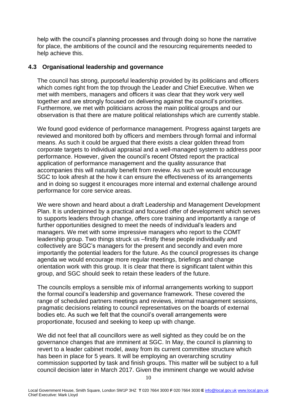help with the council's planning processes and through doing so hone the narrative for place, the ambitions of the council and the resourcing requirements needed to help achieve this.

#### **4.3 Organisational leadership and governance**

The council has strong, purposeful leadership provided by its politicians and officers which comes right from the top through the Leader and Chief Executive. When we met with members, managers and officers it was clear that they work very well together and are strongly focused on delivering against the council's priorities. Furthermore, we met with politicians across the main political groups and our observation is that there are mature political relationships which are currently stable.

We found good evidence of performance management. Progress against targets are reviewed and monitored both by officers and members through formal and informal means. As such it could be argued that there exists a clear golden thread from corporate targets to individual appraisal and a well-managed system to address poor performance. However, given the council's recent Ofsted report the practical application of performance management and the quality assurance that accompanies this will naturally benefit from review. As such we would encourage SGC to look afresh at the how it can ensure the effectiveness of its arrangements and in doing so suggest it encourages more internal and external challenge around performance for core service areas.

We were shown and heard about a draft Leadership and Management Development Plan. It is underpinned by a practical and focused offer of development which serves to supports leaders through change, offers core training and importantly a range of further opportunities designed to meet the needs of individual's leaders and managers. We met with some impressive managers who report to the COMT leadership group. Two things struck us –firstly these people individually and collectively are SGC's managers for the present and secondly and even more importantly the potential leaders for the future. As the council progresses its change agenda we would encourage more regular meetings, briefings and change orientation work with this group. It is clear that there is significant talent within this group, and SGC should seek to retain these leaders of the future.

The councils employs a sensible mix of informal arrangements working to support the formal council's leadership and governance framework. These covered the range of scheduled partners meetings and reviews, internal management sessions, pragmatic decisions relating to council representatives on the boards of external bodies etc. As such we felt that the council's overall arrangements were proportionate, focused and seeking to keep up with change.

We did not feel that all councillors were as well sighted as they could be on the governance changes that are imminent at SGC. In May, the council is planning to revert to a leader cabinet model, away from its current committee structure which has been in place for 5 years. It will be employing an overarching scrutiny commission supported by task and finish groups. This matter will be subject to a full council decision later in March 2017. Given the imminent change we would advise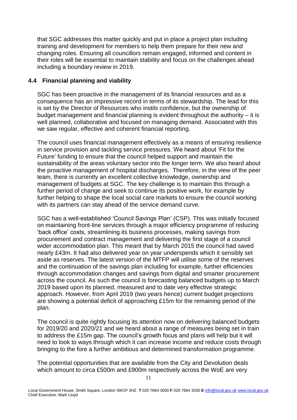that SGC addresses this matter quickly and put in place a project plan including training and development for members to help them prepare for their new and changing roles. Ensuring all councillors remain engaged, informed and content in their roles will be essential to maintain stability and focus on the challenges ahead including a boundary review in 2019.

## **4.4 Financial planning and viability**

SGC has been proactive in the management of its financial resources and as a consequence has an impressive record in terms of its stewardship. The lead for this is set by the Director of Resources who instils confidence, but the ownership of budget management and financial planning is evident throughout the authority – it is well planned, collaborative and focused on managing demand. Associated with this we saw regular, effective and coherent financial reporting.

The council uses financial management effectively as a means of ensuring resilience in service provision and tackling service pressures. We heard about 'Fit for the Future' funding to ensure that the council helped support and maintain the sustainability of the areas voluntary sector into the longer term. We also heard about the proactive management of hospital discharges. Therefore, in the view of the peer team, there is currently an excellent collective knowledge, ownership and management of budgets at SGC. The key challenge is to maintain this through a further period of change and seek to continue its positive work, for example by further helping to shape the local social care markets to ensure the council working with its partners can stay ahead of the service demand curve.

SGC has a well-established 'Council Savings Plan' (CSP). This was initially focused on maintaining front-line services through a major efficiency programme of reducing 'back office' costs, streamlining its business processes, making savings from procurement and contract management and delivering the first stage of a council wider accommodation plan. This meant that by March 2015 the council had saved nearly £43m. It had also delivered year on year underspends which it sensibly set aside as reserves. The latest version of the MTFP will utilise some of the reserves and the continuation of the savings plan including for example, further efficiencies through accommodation changes and savings from digital and smarter procurement across the council. As such the council is forecasting balanced budgets up to March 2019 based upon its planned, measured and to date very effective strategic approach. However, from April 2019 (two years hence) current budget projections are showing a potential deficit of approaching £15m for the remaining period of the plan.

The council is quite rightly focusing its attention now on delivering balanced budgets for 2019/20 and 2020/21 and we heard about a range of measures being set in train to address the £15m gap. The council's growth focus and plans will help but it will need to look to ways through which it can increase income and reduce costs through bringing to the fore a further ambitious and determined transformation programme.

The potential opportunities that are available from the City and Devolution deals which amount to circa £500m and £900m respectively across the WoE are very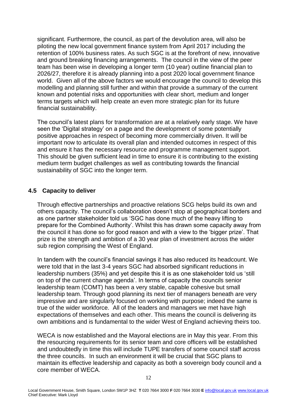significant. Furthermore, the council, as part of the devolution area, will also be piloting the new local government finance system from April 2017 including the retention of 100% business rates. As such SGC is at the forefront of new, innovative and ground breaking financing arrangements. The council in the view of the peer team has been wise in developing a longer term (10 year) outline financial plan to 2026/27, therefore it is already planning into a post 2020 local government finance world. Given all of the above factors we would encourage the council to develop this modelling and planning still further and within that provide a summary of the current known and potential risks and opportunities with clear short, medium and longer terms targets which will help create an even more strategic plan for its future financial sustainability.

The council's latest plans for transformation are at a relatively early stage. We have seen the 'Digital strategy' on a page and the development of some potentially positive approaches in respect of becoming more commercially driven. It will be important now to articulate its overall plan and intended outcomes in respect of this and ensure it has the necessary resource and programme management support. This should be given sufficient lead in time to ensure it is contributing to the existing medium term budget challenges as well as contributing towards the financial sustainability of SGC into the longer term.

#### **4.5 Capacity to deliver**

Through effective partnerships and proactive relations SCG helps build its own and others capacity. The council's collaboration doesn't stop at geographical borders and as one partner stakeholder told us 'SGC has done much of the heavy lifting to prepare for the Combined Authority'. Whilst this has drawn some capacity away from the council it has done so for good reason and with a view to the 'bigger prize'. That prize is the strength and ambition of a 30 year plan of investment across the wider sub region comprising the West of England.

In tandem with the council's financial savings it has also reduced its headcount. We were told that in the last 3-4 years SGC had absorbed significant reductions in leadership numbers (35%) and yet despite this it is as one stakeholder told us 'still on top of the current change agenda'. In terms of capacity the councils senior leadership team (COMT) has been a very stable, capable cohesive but small leadership team. Through good planning its next tier of managers beneath are very impressive and are singularly focused on working with purpose; indeed the same is true of the wider workforce. All of the leaders and managers we met have high expectations of themselves and each other. This means the council is delivering its own ambitions and is fundamental to the wider West of England achieving theirs too.

WECA is now established and the Mayoral elections are in May this year. From this the resourcing requirements for its senior team and core officers will be established and undoubtedly in time this will include TUPE transfers of some council staff across the three councils. In such an environment it will be crucial that SGC plans to maintain its effective leadership and capacity as both a sovereign body council and a core member of WECA.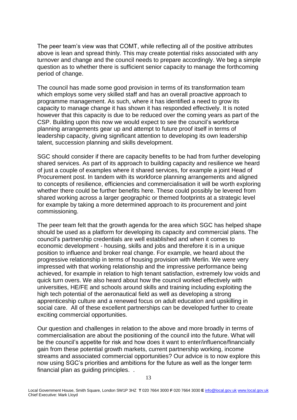The peer team's view was that COMT, while reflecting all of the positive attributes above is lean and spread thinly. This may create potential risks associated with any turnover and change and the council needs to prepare accordingly. We beg a simple question as to whether there is sufficient senior capacity to manage the forthcoming period of change.

The council has made some good provision in terms of its transformation team which employs some very skilled staff and has an overall proactive approach to programme management. As such, where it has identified a need to grow its capacity to manage change it has shown it has responded effectively. It is noted however that this capacity is due to be reduced over the coming years as part of the CSP. Building upon this now we would expect to see the council's workforce planning arrangements gear up and attempt to future proof itself in terms of leadership capacity, giving significant attention to developing its own leadership talent, succession planning and skills development.

SGC should consider if there are capacity benefits to be had from further developing shared services. As part of its approach to building capacity and resilience we heard of just a couple of examples where it shared services, for example a joint Head of Procurement post. In tandem with its workforce planning arrangements and aligned to concepts of resilience, efficiencies and commercialisation it will be worth exploring whether there could be further benefits here. These could possibly be levered from shared working across a larger geographic or themed footprints at a strategic level for example by taking a more determined approach to its procurement and joint commissioning.

The peer team felt that the growth agenda for the area which SGC has helped shape should be used as a platform for developing its capacity and commercial plans. The council's partnership credentials are well established and when it comes to economic development - housing, skills and jobs and therefore it is in a unique position to influence and broker real change. For example, we heard about the progressive relationship in terms of housing provision with Merlin. We were very impressed with that working relationship and the impressive performance being achieved, for example in relation to high tenant satisfaction, extremely low voids and quick turn overs. We also heard about how the council worked effectively with universities, HE/FE and schools around skills and training including exploiting the high tech potential of the aeronautical field as well as developing a strong apprenticeship culture and a renewed focus on adult education and upskilling in social care. All of these excellent partnerships can be developed further to create exciting commercial opportunities.

Our question and challenges in relation to the above and more broadly in terms of commercialisation are about the positioning of the council into the future. What will be the council's appetite for risk and how does it want to enter/influence/financially gain from these potential growth markets, current partnership working, income streams and associated commercial opportunities? Our advice is to now explore this now using SGC's priorities and ambitions for the future as well as the longer term financial plan as guiding principles. .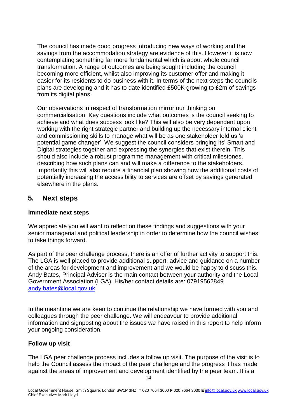The council has made good progress introducing new ways of working and the savings from the accommodation strategy are evidence of this. However it is now contemplating something far more fundamental which is about whole council transformation. A range of outcomes are being sought including the council becoming more efficient, whilst also improving its customer offer and making it easier for its residents to do business with it. In terms of the next steps the councils plans are developing and it has to date identified £500K growing to £2m of savings from its digital plans.

Our observations in respect of transformation mirror our thinking on commercialisation. Key questions include what outcomes is the council seeking to achieve and what does success look like? This will also be very dependent upon working with the right strategic partner and building up the necessary internal client and commissioning skills to manage what will be as one stakeholder told us 'a potential game changer'. We suggest the council considers bringing its' Smart and Digital strategies together and expressing the synergies that exist therein. This should also include a robust programme management with critical milestones, describing how such plans can and will make a difference to the stakeholders. Importantly this will also require a financial plan showing how the additional costs of potentially increasing the accessibility to services are offset by savings generated elsewhere in the plans.

# **5. Next steps**

#### **Immediate next steps**

We appreciate you will want to reflect on these findings and suggestions with your senior managerial and political leadership in order to determine how the council wishes to take things forward.

As part of the peer challenge process, there is an offer of further activity to support this. The LGA is well placed to provide additional support, advice and guidance on a number of the areas for development and improvement and we would be happy to discuss this. Andy Bates, Principal Adviser is the main contact between your authority and the Local Government Association (LGA). His/her contact details are: 07919562849 [andy.bates@local.gov.uk](mailto:andy.bates@local.gov.uk)

In the meantime we are keen to continue the relationship we have formed with you and colleagues through the peer challenge. We will endeavour to provide additional information and signposting about the issues we have raised in this report to help inform your ongoing consideration.

#### **Follow up visit**

The LGA peer challenge process includes a follow up visit. The purpose of the visit is to help the Council assess the impact of the peer challenge and the progress it has made against the areas of improvement and development identified by the peer team. It is a